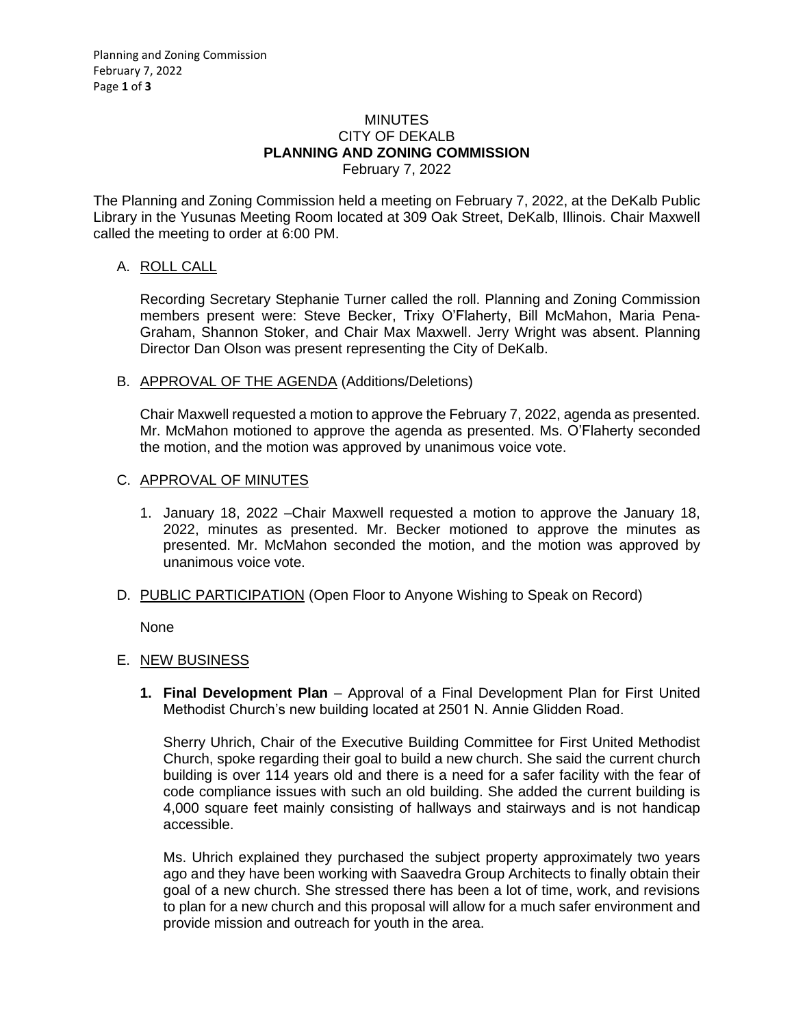### MINUTES CITY OF DEKALB **PLANNING AND ZONING COMMISSION** February 7, 2022

The Planning and Zoning Commission held a meeting on February 7, 2022, at the DeKalb Public Library in the Yusunas Meeting Room located at 309 Oak Street, DeKalb, Illinois. Chair Maxwell called the meeting to order at 6:00 PM.

# A. ROLL CALL

Recording Secretary Stephanie Turner called the roll. Planning and Zoning Commission members present were: Steve Becker, Trixy O'Flaherty, Bill McMahon, Maria Pena-Graham, Shannon Stoker, and Chair Max Maxwell. Jerry Wright was absent. Planning Director Dan Olson was present representing the City of DeKalb.

# B. APPROVAL OF THE AGENDA (Additions/Deletions)

Chair Maxwell requested a motion to approve the February 7, 2022, agenda as presented. Mr. McMahon motioned to approve the agenda as presented. Ms. O'Flaherty seconded the motion, and the motion was approved by unanimous voice vote.

## C. APPROVAL OF MINUTES

- 1. January 18, 2022 –Chair Maxwell requested a motion to approve the January 18, 2022, minutes as presented. Mr. Becker motioned to approve the minutes as presented. Mr. McMahon seconded the motion, and the motion was approved by unanimous voice vote.
- D. PUBLIC PARTICIPATION (Open Floor to Anyone Wishing to Speak on Record)

None

# E. NEW BUSINESS

**1. Final Development Plan** – Approval of a Final Development Plan for First United Methodist Church's new building located at 2501 N. Annie Glidden Road.

Sherry Uhrich, Chair of the Executive Building Committee for First United Methodist Church, spoke regarding their goal to build a new church. She said the current church building is over 114 years old and there is a need for a safer facility with the fear of code compliance issues with such an old building. She added the current building is 4,000 square feet mainly consisting of hallways and stairways and is not handicap accessible.

Ms. Uhrich explained they purchased the subject property approximately two years ago and they have been working with Saavedra Group Architects to finally obtain their goal of a new church. She stressed there has been a lot of time, work, and revisions to plan for a new church and this proposal will allow for a much safer environment and provide mission and outreach for youth in the area.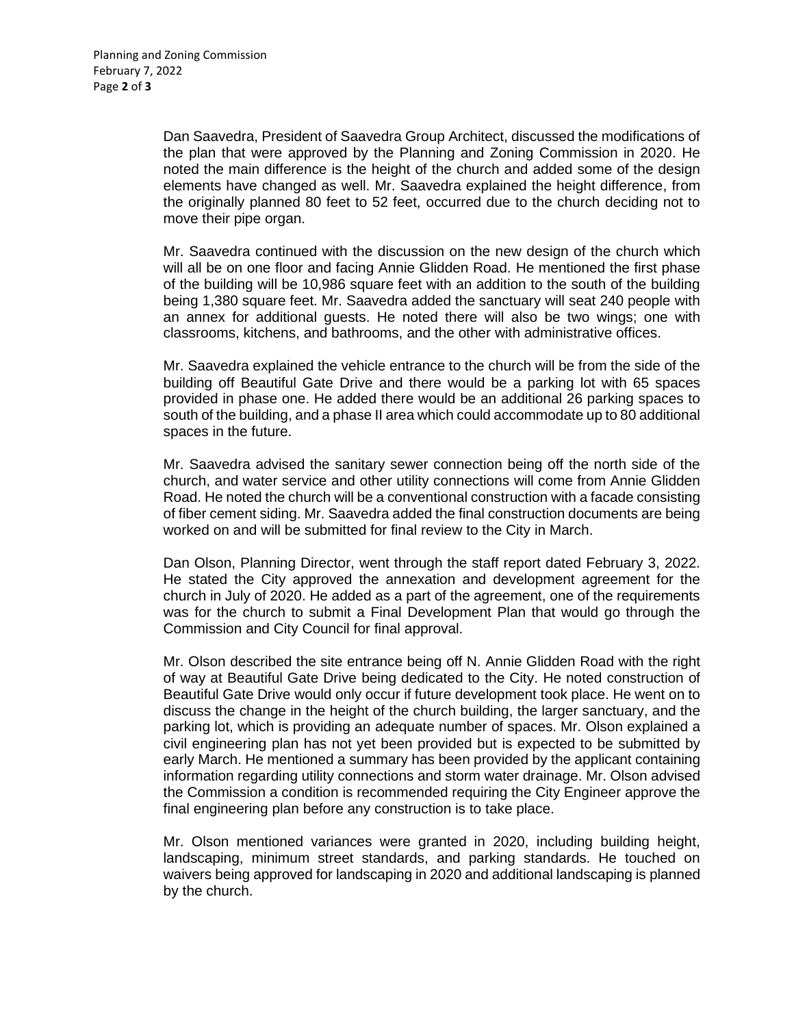Dan Saavedra, President of Saavedra Group Architect, discussed the modifications of the plan that were approved by the Planning and Zoning Commission in 2020. He noted the main difference is the height of the church and added some of the design elements have changed as well. Mr. Saavedra explained the height difference, from the originally planned 80 feet to 52 feet, occurred due to the church deciding not to move their pipe organ.

Mr. Saavedra continued with the discussion on the new design of the church which will all be on one floor and facing Annie Glidden Road. He mentioned the first phase of the building will be 10,986 square feet with an addition to the south of the building being 1,380 square feet. Mr. Saavedra added the sanctuary will seat 240 people with an annex for additional guests. He noted there will also be two wings; one with classrooms, kitchens, and bathrooms, and the other with administrative offices.

Mr. Saavedra explained the vehicle entrance to the church will be from the side of the building off Beautiful Gate Drive and there would be a parking lot with 65 spaces provided in phase one. He added there would be an additional 26 parking spaces to south of the building, and a phase II area which could accommodate up to 80 additional spaces in the future.

Mr. Saavedra advised the sanitary sewer connection being off the north side of the church, and water service and other utility connections will come from Annie Glidden Road. He noted the church will be a conventional construction with a facade consisting of fiber cement siding. Mr. Saavedra added the final construction documents are being worked on and will be submitted for final review to the City in March.

Dan Olson, Planning Director, went through the staff report dated February 3, 2022. He stated the City approved the annexation and development agreement for the church in July of 2020. He added as a part of the agreement, one of the requirements was for the church to submit a Final Development Plan that would go through the Commission and City Council for final approval.

Mr. Olson described the site entrance being off N. Annie Glidden Road with the right of way at Beautiful Gate Drive being dedicated to the City. He noted construction of Beautiful Gate Drive would only occur if future development took place. He went on to discuss the change in the height of the church building, the larger sanctuary, and the parking lot, which is providing an adequate number of spaces. Mr. Olson explained a civil engineering plan has not yet been provided but is expected to be submitted by early March. He mentioned a summary has been provided by the applicant containing information regarding utility connections and storm water drainage. Mr. Olson advised the Commission a condition is recommended requiring the City Engineer approve the final engineering plan before any construction is to take place.

Mr. Olson mentioned variances were granted in 2020, including building height, landscaping, minimum street standards, and parking standards. He touched on waivers being approved for landscaping in 2020 and additional landscaping is planned by the church.